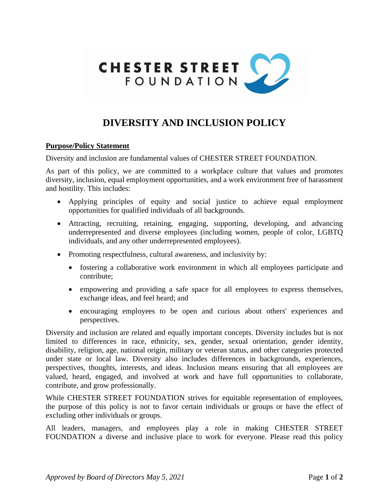

# **DIVERSITY AND INCLUSION POLICY**

#### **Purpose/Policy Statement**

Diversity and inclusion are fundamental values of CHESTER STREET FOUNDATION.

As part of this policy, we are committed to a workplace culture that values and promotes diversity, inclusion, equal employment opportunities, and a work environment free of harassment and hostility. This includes:

- Applying principles of equity and social justice to achieve equal employment opportunities for qualified individuals of all backgrounds.
- Attracting, recruiting, retaining, engaging, supporting, developing, and advancing underrepresented and diverse employees (including women, people of color, LGBTQ individuals, and any other underrepresented employees).
- Promoting respectfulness, cultural awareness, and inclusivity by:
	- fostering a collaborative work environment in which all employees participate and contribute;
	- empowering and providing a safe space for all employees to express themselves, exchange ideas, and feel heard; and
	- encouraging employees to be open and curious about others' experiences and perspectives.

Diversity and inclusion are related and equally important concepts. Diversity includes but is not limited to differences in race, ethnicity, sex, gender, sexual orientation, gender identity, disability, religion, age, national origin, military or veteran status, and other categories protected under state or local law. Diversity also includes differences in backgrounds, experiences, perspectives, thoughts, interests, and ideas. Inclusion means ensuring that all employees are valued, heard, engaged, and involved at work and have full opportunities to collaborate, contribute, and grow professionally.

While CHESTER STREET FOUNDATION strives for equitable representation of employees, the purpose of this policy is not to favor certain individuals or groups or have the effect of excluding other individuals or groups.

All leaders, managers, and employees play a role in making CHESTER STREET FOUNDATION a diverse and inclusive place to work for everyone. Please read this policy